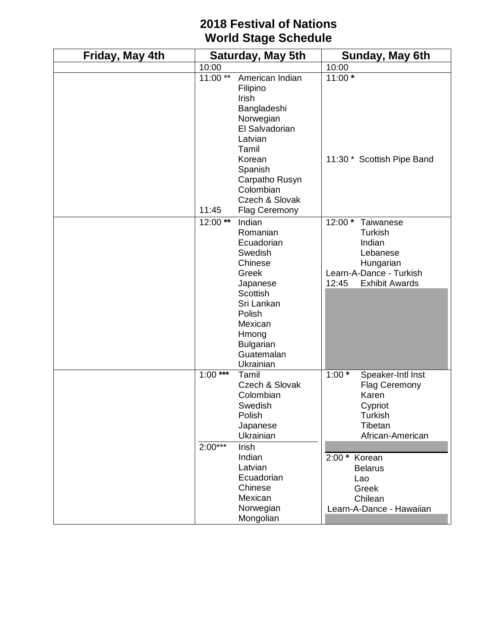## **2018 Festival of Nations World Stage Schedule**

| Friday, May 4th | <b>Saturday, May 5th</b> |                                                                                                                                                                                 | Sunday, May 6th                                                                                                           |
|-----------------|--------------------------|---------------------------------------------------------------------------------------------------------------------------------------------------------------------------------|---------------------------------------------------------------------------------------------------------------------------|
|                 | 10:00                    |                                                                                                                                                                                 | 10:00                                                                                                                     |
|                 | $11:00***$               | American Indian<br>Filipino<br>Irish<br>Bangladeshi<br>Norwegian<br>El Salvadorian<br>Latvian<br>Tamil<br>Korean<br>Spanish<br>Carpatho Rusyn<br>Colombian<br>Czech & Slovak    | $11:00*$<br>11:30 * Scottish Pipe Band                                                                                    |
|                 | 11:45<br>12:00**         | <b>Flag Ceremony</b><br>Indian                                                                                                                                                  | $12:00*$<br>Taiwanese                                                                                                     |
|                 |                          | Romanian<br>Ecuadorian<br>Swedish<br>Chinese<br>Greek<br>Japanese<br><b>Scottish</b><br>Sri Lankan<br>Polish<br>Mexican<br>Hmong<br><b>Bulgarian</b><br>Guatemalan<br>Ukrainian | <b>Turkish</b><br>Indian<br>Lebanese<br>Hungarian<br>Learn-A-Dance - Turkish<br>12:45<br><b>Exhibit Awards</b>            |
|                 | $1:00***$                | Tamil<br>Czech & Slovak<br>Colombian<br>Swedish<br>Polish<br>Japanese<br>Ukrainian                                                                                              | $1:00*$<br>Speaker-Intl Inst<br><b>Flag Ceremony</b><br>Karen<br>Cypriot<br><b>Turkish</b><br>Tibetan<br>African-American |
|                 | $2:00***$                | Irish<br>Indian<br>Latvian<br>Ecuadorian<br>Chinese<br>Mexican<br>Norwegian<br>Mongolian                                                                                        | 2:00 * Korean<br><b>Belarus</b><br>Lao<br>Greek<br>Chilean<br>Learn-A-Dance - Hawaiian                                    |